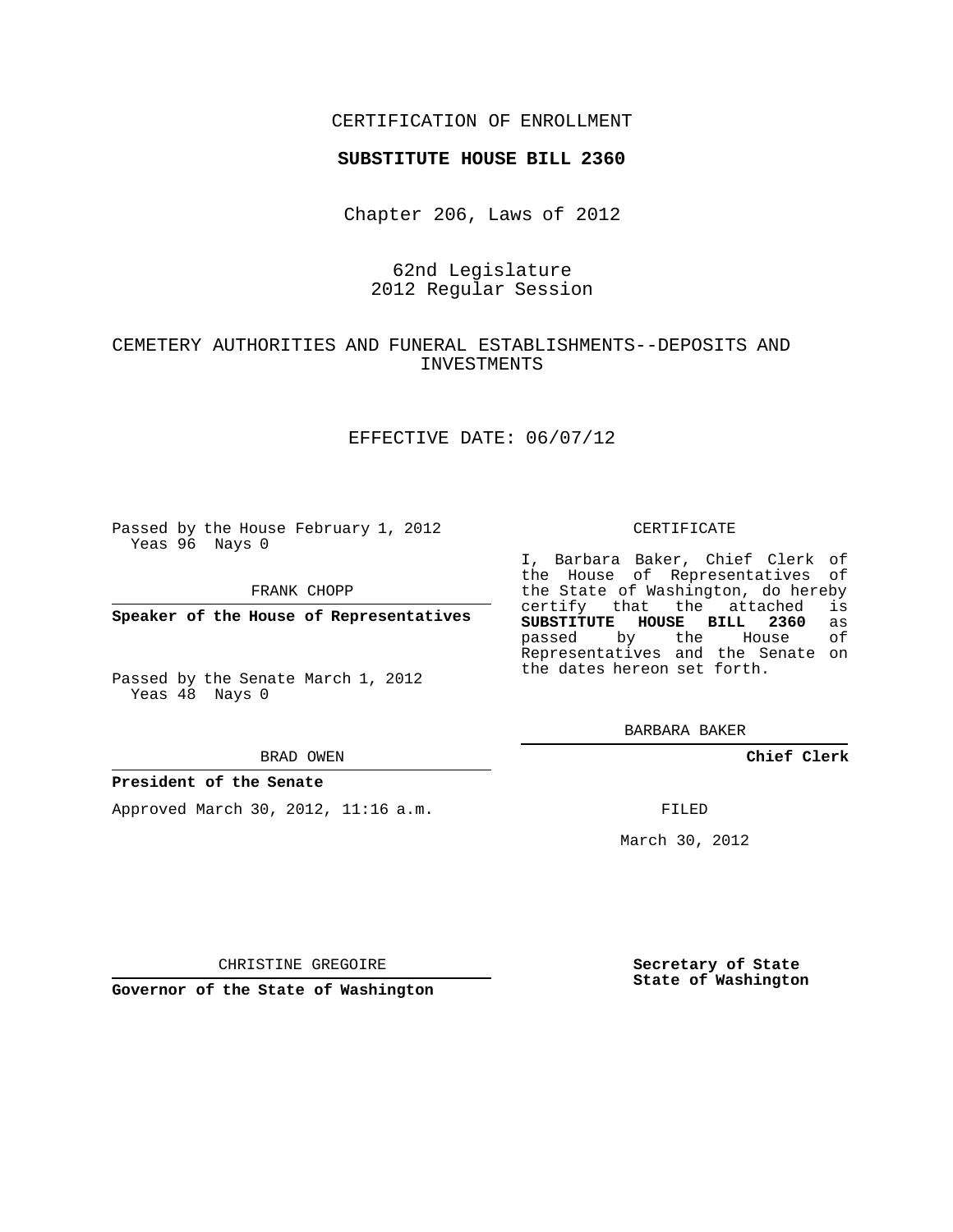## CERTIFICATION OF ENROLLMENT

## **SUBSTITUTE HOUSE BILL 2360**

Chapter 206, Laws of 2012

## 62nd Legislature 2012 Regular Session

# CEMETERY AUTHORITIES AND FUNERAL ESTABLISHMENTS--DEPOSITS AND INVESTMENTS

## EFFECTIVE DATE: 06/07/12

Passed by the House February 1, 2012 Yeas 96 Nays 0

FRANK CHOPP

**Speaker of the House of Representatives**

Passed by the Senate March 1, 2012 Yeas 48 Nays 0

#### BRAD OWEN

## **President of the Senate**

Approved March 30, 2012, 11:16 a.m.

#### CERTIFICATE

I, Barbara Baker, Chief Clerk of the House of Representatives of the State of Washington, do hereby<br>certify that the attached is certify that the attached **SUBSTITUTE HOUSE BILL 2360** as passed by the Representatives and the Senate on the dates hereon set forth.

BARBARA BAKER

**Chief Clerk**

FILED

March 30, 2012

CHRISTINE GREGOIRE

**Governor of the State of Washington**

**Secretary of State State of Washington**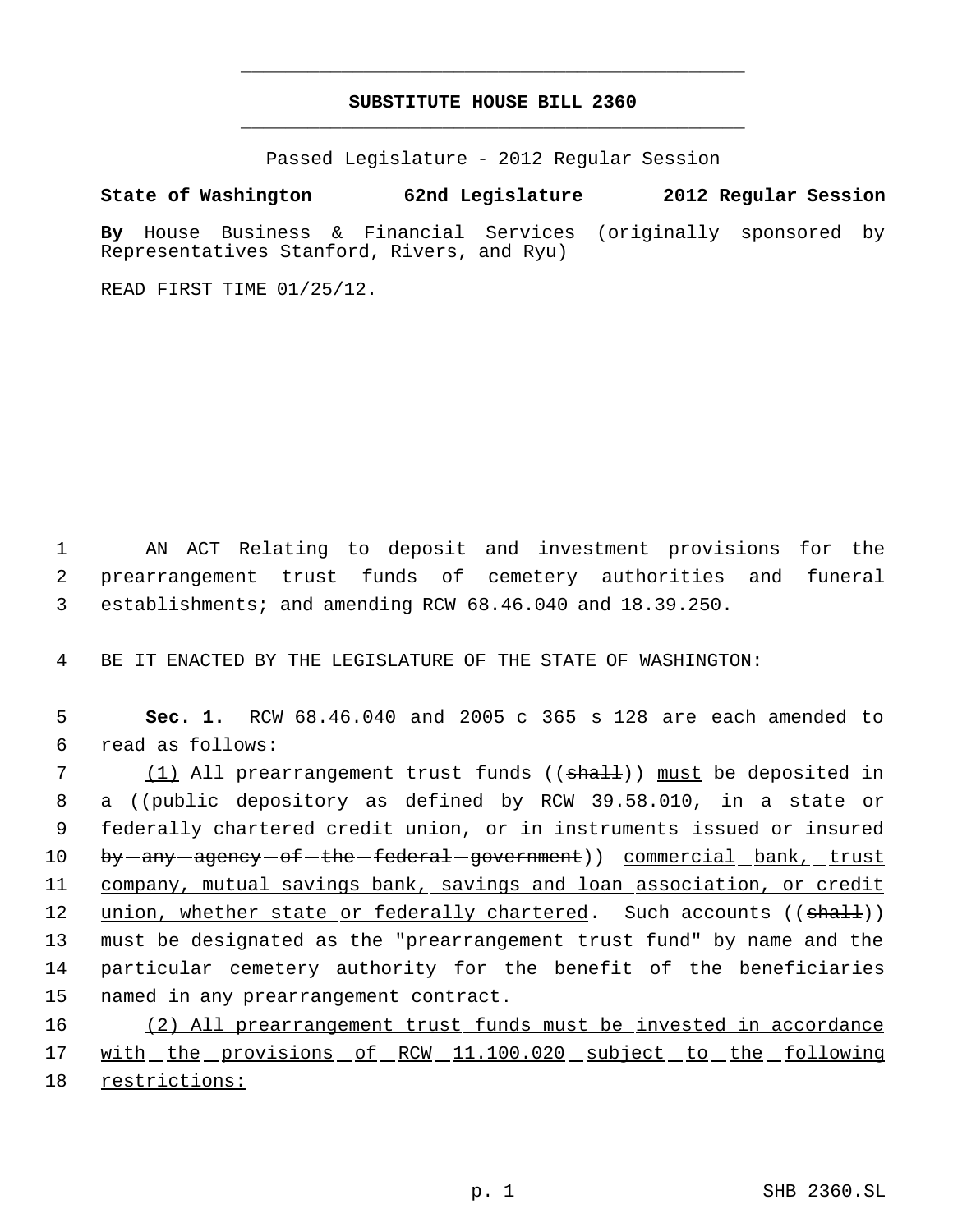# **SUBSTITUTE HOUSE BILL 2360** \_\_\_\_\_\_\_\_\_\_\_\_\_\_\_\_\_\_\_\_\_\_\_\_\_\_\_\_\_\_\_\_\_\_\_\_\_\_\_\_\_\_\_\_\_

\_\_\_\_\_\_\_\_\_\_\_\_\_\_\_\_\_\_\_\_\_\_\_\_\_\_\_\_\_\_\_\_\_\_\_\_\_\_\_\_\_\_\_\_\_

Passed Legislature - 2012 Regular Session

# **State of Washington 62nd Legislature 2012 Regular Session**

**By** House Business & Financial Services (originally sponsored by Representatives Stanford, Rivers, and Ryu)

READ FIRST TIME 01/25/12.

 1 AN ACT Relating to deposit and investment provisions for the 2 prearrangement trust funds of cemetery authorities and funeral 3 establishments; and amending RCW 68.46.040 and 18.39.250.

4 BE IT ENACTED BY THE LEGISLATURE OF THE STATE OF WASHINGTON:

| 5               | Sec. 1. RCW 68.46.040 and 2005 c 365 s 128 are each amended to                |
|-----------------|-------------------------------------------------------------------------------|
| 6               | read as follows:                                                              |
| 7               | (1) All prearrangement trust funds ((shall)) must be deposited in             |
| 8               | a ((public-depository-as-defined-by-RCW-39.58.010,-in-a-state-or              |
| 9               | federally chartered credit union, or in instruments issued or insured         |
| 10 <sub>1</sub> | by-any-agency-of-the-federal-government)) commercial bank, trust              |
| 11              | company, mutual savings bank, savings and loan association, or credit         |
| 12 <sup>°</sup> | union, whether state or federally chartered. Such accounts $((\text{shall}))$ |
| 13              | must be designated as the "prearrangement trust fund" by name and the         |
| 14              | particular cemetery authority for the benefit of the beneficiaries            |
| 15              | named in any prearrangement contract.                                         |
| 16              | (2) All prearrangement trust funds must be invested in accordance             |

17 with the provisions of RCW 11.100.020 subject to the following 18 restrictions: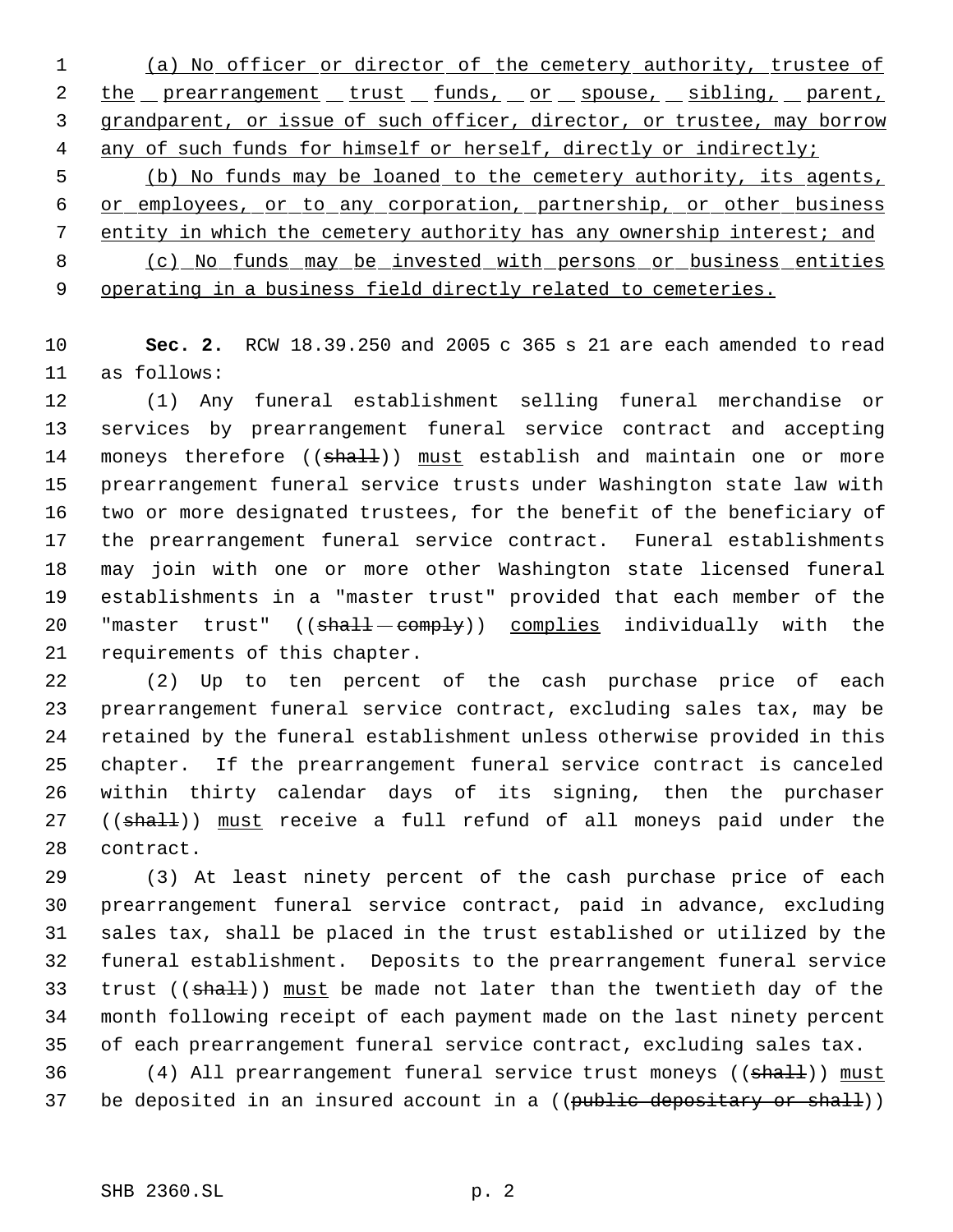(a) No officer or director of the cemetery authority, trustee of 2 the prearrangement trust funds, or spouse, sibling, parent, grandparent, or issue of such officer, director, or trustee, may borrow 4 any of such funds for himself or herself, directly or indirectly; (b) No funds may be loaned to the cemetery authority, its agents, or employees, or to any corporation, partnership, or other business entity in which the cemetery authority has any ownership interest; and

 (c) No funds may be invested with persons or business entities 9 operating in a business field directly related to cemeteries.

 **Sec. 2.** RCW 18.39.250 and 2005 c 365 s 21 are each amended to read as follows:

 (1) Any funeral establishment selling funeral merchandise or services by prearrangement funeral service contract and accepting 14 moneys therefore ((shall)) must establish and maintain one or more prearrangement funeral service trusts under Washington state law with two or more designated trustees, for the benefit of the beneficiary of the prearrangement funeral service contract. Funeral establishments may join with one or more other Washington state licensed funeral establishments in a "master trust" provided that each member of the 20 "master trust" ((shall-eomply)) complies individually with the requirements of this chapter.

 (2) Up to ten percent of the cash purchase price of each prearrangement funeral service contract, excluding sales tax, may be retained by the funeral establishment unless otherwise provided in this chapter. If the prearrangement funeral service contract is canceled within thirty calendar days of its signing, then the purchaser 27 ((shall)) must receive a full refund of all moneys paid under the contract.

 (3) At least ninety percent of the cash purchase price of each prearrangement funeral service contract, paid in advance, excluding sales tax, shall be placed in the trust established or utilized by the funeral establishment. Deposits to the prearrangement funeral service 33 trust ((shall)) must be made not later than the twentieth day of the month following receipt of each payment made on the last ninety percent of each prearrangement funeral service contract, excluding sales tax.

36 (4) All prearrangement funeral service trust moneys ((shall)) must 37 be deposited in an insured account in a ((public depositary or shall))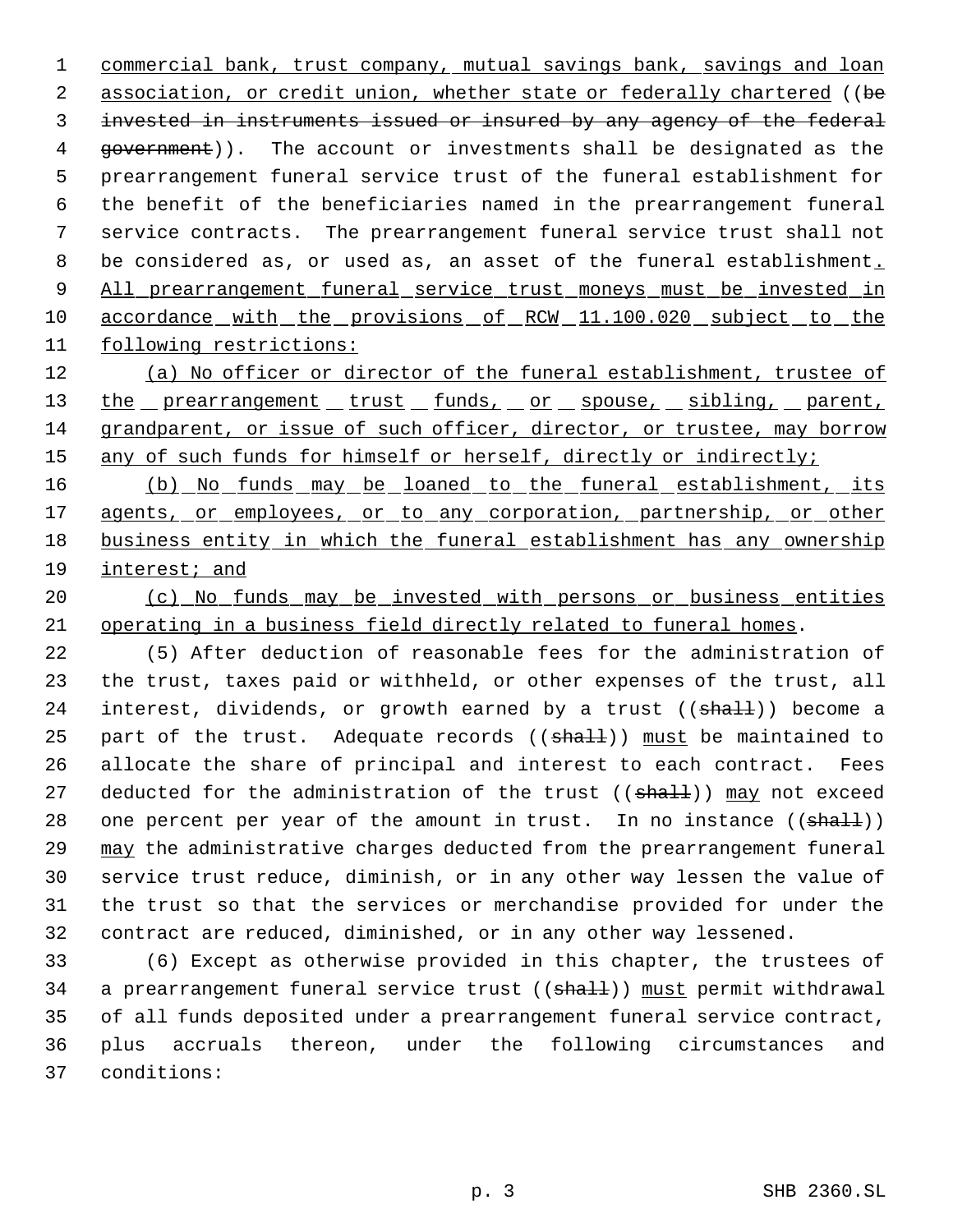commercial bank, trust company, mutual savings bank, savings and loan 2 association, or credit union, whether state or federally chartered ((be invested in instruments issued or insured by any agency of the federal 4 government)). The account or investments shall be designated as the prearrangement funeral service trust of the funeral establishment for the benefit of the beneficiaries named in the prearrangement funeral service contracts. The prearrangement funeral service trust shall not 8 be considered as, or used as, an asset of the funeral establishment. 9 All prearrangement funeral service trust moneys must be invested in 10 accordance with the provisions of RCW 11.100.020 subject to the following restrictions:

 (a) No officer or director of the funeral establishment, trustee of 13 the prearrangement trust funds, or spouse, sibling, parent, grandparent, or issue of such officer, director, or trustee, may borrow 15 any of such funds for himself or herself, directly or indirectly;

16 (b) No funds may be loaned to the funeral establishment, its 17 agents, or employees, or to any corporation, partnership, or other business entity in which the funeral establishment has any ownership interest; and

 (c) No funds may be invested with persons or business entities operating in a business field directly related to funeral homes.

 (5) After deduction of reasonable fees for the administration of the trust, taxes paid or withheld, or other expenses of the trust, all 24 interest, dividends, or growth earned by a trust ((shall)) become a 25 part of the trust. Adequate records  $((\text{sha1-}))$  must be maintained to allocate the share of principal and interest to each contract. Fees 27 deducted for the administration of the trust ((shall)) may not exceed 28 one percent per year of the amount in trust. In no instance  $((shalt))$  may the administrative charges deducted from the prearrangement funeral service trust reduce, diminish, or in any other way lessen the value of the trust so that the services or merchandise provided for under the contract are reduced, diminished, or in any other way lessened.

 (6) Except as otherwise provided in this chapter, the trustees of 34 a prearrangement funeral service trust ((shall)) must permit withdrawal of all funds deposited under a prearrangement funeral service contract, plus accruals thereon, under the following circumstances and conditions: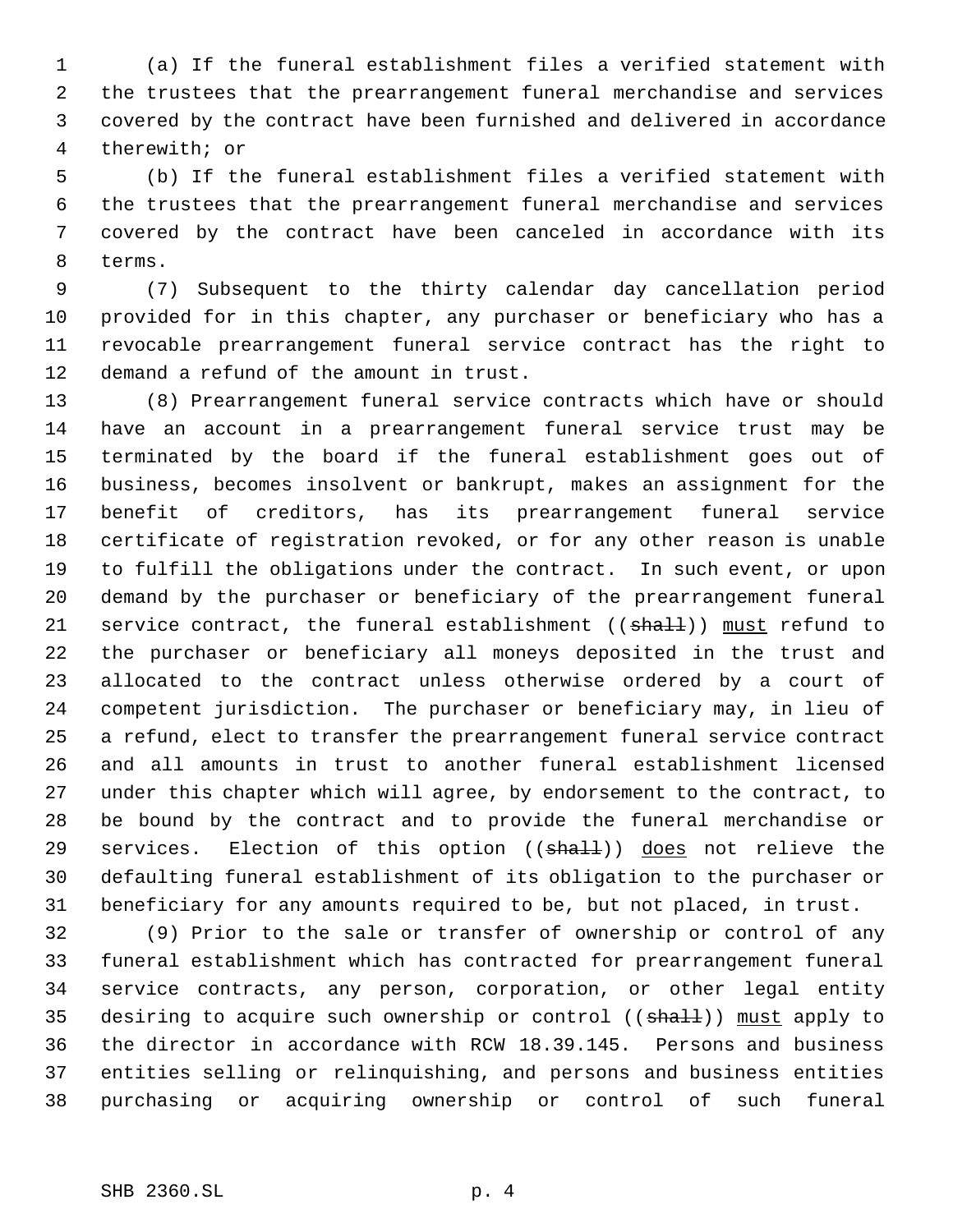(a) If the funeral establishment files a verified statement with the trustees that the prearrangement funeral merchandise and services covered by the contract have been furnished and delivered in accordance therewith; or

 (b) If the funeral establishment files a verified statement with the trustees that the prearrangement funeral merchandise and services covered by the contract have been canceled in accordance with its terms.

 (7) Subsequent to the thirty calendar day cancellation period provided for in this chapter, any purchaser or beneficiary who has a revocable prearrangement funeral service contract has the right to demand a refund of the amount in trust.

 (8) Prearrangement funeral service contracts which have or should have an account in a prearrangement funeral service trust may be terminated by the board if the funeral establishment goes out of business, becomes insolvent or bankrupt, makes an assignment for the benefit of creditors, has its prearrangement funeral service certificate of registration revoked, or for any other reason is unable to fulfill the obligations under the contract. In such event, or upon demand by the purchaser or beneficiary of the prearrangement funeral 21 service contract, the funeral establishment ( $(\text{shall})$ ) must refund to the purchaser or beneficiary all moneys deposited in the trust and allocated to the contract unless otherwise ordered by a court of competent jurisdiction. The purchaser or beneficiary may, in lieu of a refund, elect to transfer the prearrangement funeral service contract and all amounts in trust to another funeral establishment licensed under this chapter which will agree, by endorsement to the contract, to be bound by the contract and to provide the funeral merchandise or 29 services. Election of this option ((shall)) does not relieve the defaulting funeral establishment of its obligation to the purchaser or beneficiary for any amounts required to be, but not placed, in trust.

 (9) Prior to the sale or transfer of ownership or control of any funeral establishment which has contracted for prearrangement funeral service contracts, any person, corporation, or other legal entity 35 desiring to acquire such ownership or control ((shall)) must apply to the director in accordance with RCW 18.39.145. Persons and business entities selling or relinquishing, and persons and business entities purchasing or acquiring ownership or control of such funeral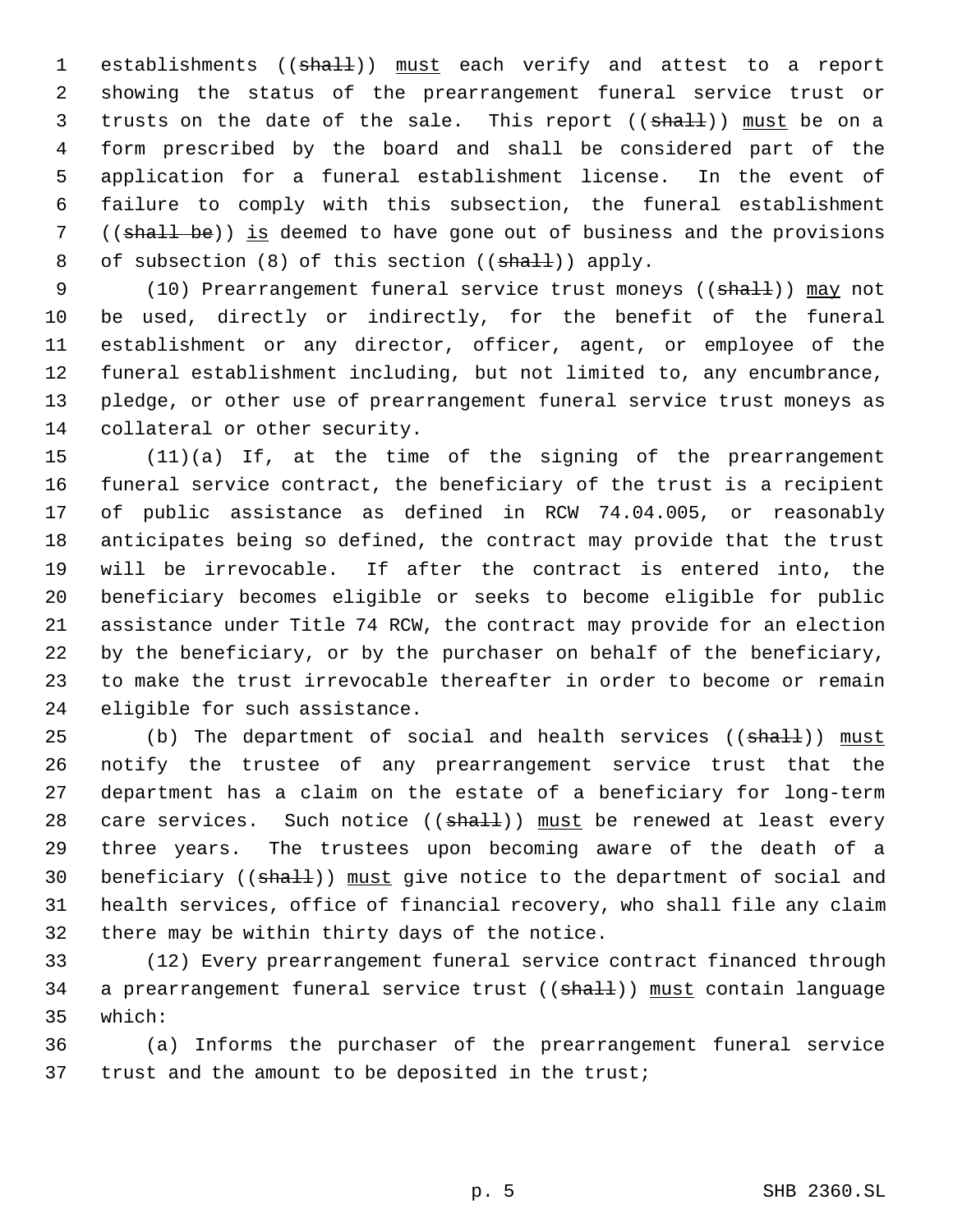1 establishments ((shall)) must each verify and attest to a report showing the status of the prearrangement funeral service trust or 3 trusts on the date of the sale. This report ((shall)) must be on a form prescribed by the board and shall be considered part of the application for a funeral establishment license. In the event of failure to comply with this subsection, the funeral establishment ((shall be)) is deemed to have gone out of business and the provisions 8 of subsection (8) of this section ((shall)) apply.

9 (10) Prearrangement funeral service trust moneys ((shall)) may not be used, directly or indirectly, for the benefit of the funeral establishment or any director, officer, agent, or employee of the funeral establishment including, but not limited to, any encumbrance, pledge, or other use of prearrangement funeral service trust moneys as collateral or other security.

 (11)(a) If, at the time of the signing of the prearrangement funeral service contract, the beneficiary of the trust is a recipient of public assistance as defined in RCW 74.04.005, or reasonably anticipates being so defined, the contract may provide that the trust will be irrevocable. If after the contract is entered into, the beneficiary becomes eligible or seeks to become eligible for public assistance under Title 74 RCW, the contract may provide for an election by the beneficiary, or by the purchaser on behalf of the beneficiary, to make the trust irrevocable thereafter in order to become or remain eligible for such assistance.

25 (b) The department of social and health services  $((shall))$  must notify the trustee of any prearrangement service trust that the department has a claim on the estate of a beneficiary for long-term 28 care services. Such notice  $((shall))$  must be renewed at least every three years. The trustees upon becoming aware of the death of a 30 beneficiary ((shall)) must give notice to the department of social and health services, office of financial recovery, who shall file any claim there may be within thirty days of the notice.

 (12) Every prearrangement funeral service contract financed through 34 a prearrangement funeral service trust ((shall)) must contain language which:

 (a) Informs the purchaser of the prearrangement funeral service trust and the amount to be deposited in the trust;